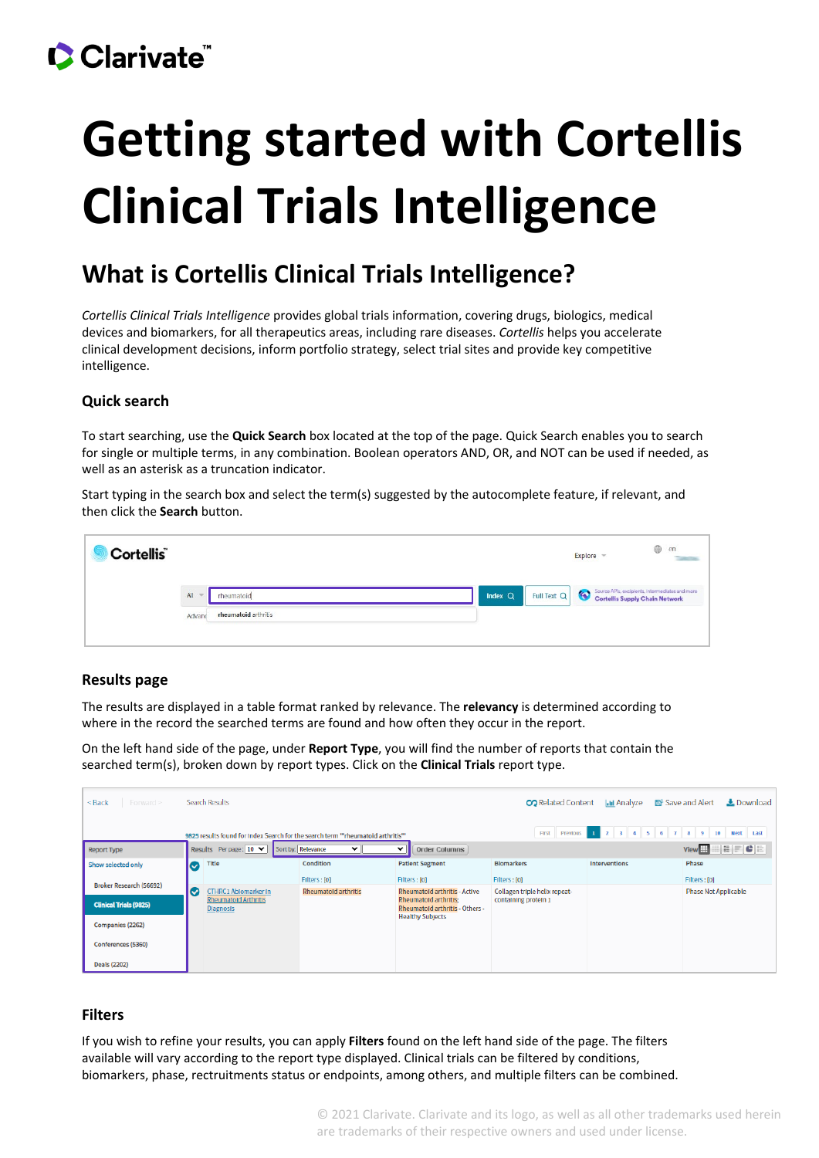## Clarivate

# **Getting started with Cortellis Clinical Trials Intelligence**

### **What is Cortellis Clinical Trials Intelligence?**

*Cortellis Clinical Trials Intelligence* provides global trials information, covering drugs, biologics, medical devices and biomarkers, for all therapeutics areas, including rare diseases. *Cortellis* helps you accelerate clinical development decisions, inform portfolio strategy, select trial sites and provide key competitive intelligence.

#### **Quick search**

To start searching, use the **Quick Search** box located at the top of the page. Quick Search enables you to search for single or multiple terms, in any combination. Boolean operators AND, OR, and NOT can be used if needed, as well as an asterisk as a truncation indicator.

Start typing in the search box and select the term(s) suggested by the autocomplete feature, if relevant, and then click the **Search** button.

| Cortellis <sup>®</sup> |               |                      |           |             | Explore |                                                                                   | $\oplus$ | $_{\rm en}$<br><b>Taxable</b> |
|------------------------|---------------|----------------------|-----------|-------------|---------|-----------------------------------------------------------------------------------|----------|-------------------------------|
|                        | All<br>$\sim$ | rheumatoid           | Index $Q$ | Full Text Q |         | Source APIs, excipients, intermediates and more<br>Cortellis Supply Chain Network |          |                               |
|                        | Advanc        | rheumatoid arthritis |           |             |         |                                                                                   |          |                               |
|                        |               |                      |           |             |         |                                                                                   |          |                               |

#### **Results page**

The results are displayed in a table format ranked by relevance. The **relevancy** is determined according to where in the record the searched terms are found and how often they occur in the report.

On the left hand side of the page, under **Report Type**, you will find the number of reports that contain the searched term(s), broken down by report types. Click on the **Clinical Trials** report type.

| Forward ><br>$<$ Back                                                                                                                                                | <b>Search Results</b> |                                                 |                             |                         | <b>CO</b> Related Content       | <b>I.III Analyze</b>          | 图 Save and Alert<br>$\pm$ Download |                                                                                 |
|----------------------------------------------------------------------------------------------------------------------------------------------------------------------|-----------------------|-------------------------------------------------|-----------------------------|-------------------------|---------------------------------|-------------------------------|------------------------------------|---------------------------------------------------------------------------------|
| $2 \ 3 \ 4 \ 5 \ 6$<br>789<br>$\mathbf{1}$<br>$10-10$<br><b>First</b><br>Previous<br>9825 results found for Index Search for the search term ""rheumatoid arthritis" |                       |                                                 |                             |                         |                                 |                               |                                    | Next Last                                                                       |
| <b>Report Type</b>                                                                                                                                                   |                       | Results Per page: 10 V                          | Sort by: Relevance          | ◡<br>$\check{ }$        | <b>Order Columns</b>            |                               |                                    | $\vert \mathbf{H} \vert \mathbf{F} \vert \mathbf{C} \vert \mathbf{H}$<br>View # |
| Show selected only                                                                                                                                                   | (V)                   | Title                                           | Condition                   | <b>Patient Segment</b>  |                                 | <b>Biomarkers</b>             | Interventions                      | Phase                                                                           |
|                                                                                                                                                                      |                       |                                                 | Filters: [0]                | Filters: [0]            |                                 | Filters: [0]                  |                                    | Filters: [0]                                                                    |
| Broker Research (56692)                                                                                                                                              | $(\vee)$              | <b>CTHRC1 Abiomarker in</b>                     | <b>Rheumatoid arthritis</b> |                         | Rheumatoid arthritis - Active   | Collagen triple helix repeat- |                                    | <b>Phase Not Applicable</b>                                                     |
| <b>Clinical Trials (9825)</b>                                                                                                                                        |                       | <b>Rheumatold Arthritis</b><br><b>Diagnosis</b> |                             | Rheumatoid arthritis:   | Rheumatold arthritis - Others - | containing protein 1          |                                    |                                                                                 |
| Companies (2262)                                                                                                                                                     |                       |                                                 |                             | <b>Healthy Subjects</b> |                                 |                               |                                    |                                                                                 |
| Conferences (5360)                                                                                                                                                   |                       |                                                 |                             |                         |                                 |                               |                                    |                                                                                 |
| Deals (2202)                                                                                                                                                         |                       |                                                 |                             |                         |                                 |                               |                                    |                                                                                 |

#### **Filters**

If you wish to refine your results, you can apply **Filters** found on the left hand side of the page. The filters available will vary according to the report type displayed. Clinical trials can be filtered by conditions, biomarkers, phase, rectruitments status or endpoints, among others, and multiple filters can be combined.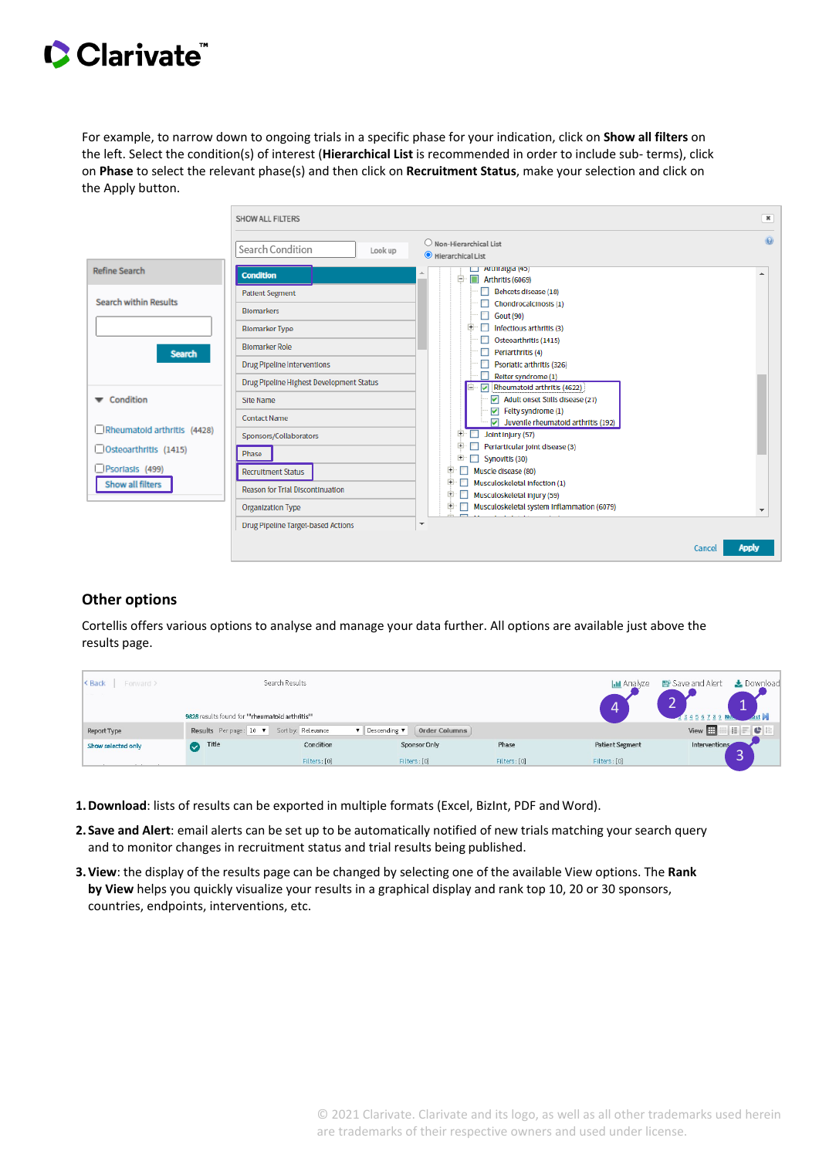## Clarivate

For example, to narrow down to ongoing trials in a specific phase for your indication, click on **Show all filters** on the left. Select the condition(s) of interest (**Hierarchical List** is recommended in order to include sub- terms), click on **Phase** to select the relevant phase(s) and then click on **Recruitment Status**, make your selection and click on the Apply button.

|                              | <b>SHOW ALL FILTERS</b>                  |                                                                                     |                     |  |  |
|------------------------------|------------------------------------------|-------------------------------------------------------------------------------------|---------------------|--|--|
|                              | Search Condition<br>Look up              | Non-Hierarchical List<br>Hierarchical List                                          | $\overline{\omega}$ |  |  |
| <b>Refine Search</b>         | <b>Condition</b>                         | $\Box$ Altillalgia (45)<br>ė.<br>Arthritis (6069)                                   |                     |  |  |
|                              | <b>Patient Segment</b>                   | Behcets disease (18)                                                                |                     |  |  |
| <b>Search within Results</b> | <b>Biomarkers</b>                        | Chondrocalcinosis (1)<br>Gout (90)                                                  |                     |  |  |
|                              | <b>Blomarker Type</b>                    | Infectious arthritis (3)                                                            |                     |  |  |
|                              | <b>Blomarker Role</b>                    | Osteoarthritis (1415)                                                               |                     |  |  |
| <b>Search</b>                |                                          | Periarthritis (4)                                                                   |                     |  |  |
|                              | <b>Drug Pipeline Interventions</b>       | Psoriatic arthritis (326)                                                           |                     |  |  |
|                              | Drug Pipeline Highest Development Status | Reiter syndrome (1)<br>Rheumatold arthritis (4622)<br>M                             |                     |  |  |
| Condition                    | <b>Site Name</b>                         | $\triangledown$ Adult onset Stills disease (27)                                     |                     |  |  |
|                              | <b>Contact Name</b>                      | $\boxed{\checkmark}$ Felty syndrome (1)                                             |                     |  |  |
| Rheumatold arthritis (4428)  | Sponsors/Collaborators                   | $\triangledown$ Juventle rheumatoid arthritis (192)<br>Joint Injury (57)<br>Đ       |                     |  |  |
| Osteoarthritis (1415)        |                                          | Ð<br>Perlarticular joint disease (3)                                                |                     |  |  |
|                              | Phase                                    | Đ<br>Synovitis (30)                                                                 |                     |  |  |
| Psortasts (499)              | <b>Recruitment Status</b>                | Đ<br>Muscle disease (80)                                                            |                     |  |  |
| Show all filters             | <b>Reason for Trial Discontinuation</b>  | Ð<br>Musculoskeletal Infection (1)                                                  |                     |  |  |
|                              |                                          | Đ<br>Musculoskeletal Injury (59)<br>Ð<br>Musculoskeletal system Inflammation (6079) |                     |  |  |
|                              | <b>Organization Type</b>                 |                                                                                     |                     |  |  |
|                              | Drug Pipeline Target-based Actions       | $\overline{\phantom{a}}$                                                            |                     |  |  |
|                              |                                          | Cancel                                                                              | <b>Apply</b>        |  |  |

#### **Other options**

Cortellis offers various options to analyse and manage your data further. All options are available just above the results page.

| < Back<br>Forward > |                                                 | Search Results                     |                                      |              | <b>Int</b> Analyze<br>4 | Le Download<br><b>E</b> Save and Alert<br>-- |
|---------------------|-------------------------------------------------|------------------------------------|--------------------------------------|--------------|-------------------------|----------------------------------------------|
|                     | 9828 results found for ""rheumatoid arthritis"" |                                    |                                      |              |                         | ast V<br>456789                              |
| Report Type         | Results Perpage: 10 v                           | Sort by: Relevance<br>$\mathbf{v}$ | <b>Order Columns</b><br>Descending ▼ |              |                         | $\bullet$<br>View  <br>摄                     |
| Show selected only  | Title<br><b>M</b>                               | Condition                          | Sponsor Only                         | Phase        | <b>Patient Segment</b>  | Interventions<br>$\overline{\phantom{0}}$    |
|                     |                                                 | Filters: [0]                       | Filters: [0]                         | Filters: [0] | Filters: [0]            |                                              |

- **1.Download**: lists of results can be exported in multiple formats (Excel, BizInt, PDF andWord).
- **2. Save and Alert**: email alerts can be set up to be automatically notified of new trials matching your search query and to monitor changes in recruitment status and trial results being published.
- **3.View**: the display of the results page can be changed by selecting one of the available View options. The **Rank by View** helps you quickly visualize your results in a graphical display and rank top 10, 20 or 30 sponsors, countries, endpoints, interventions, etc.